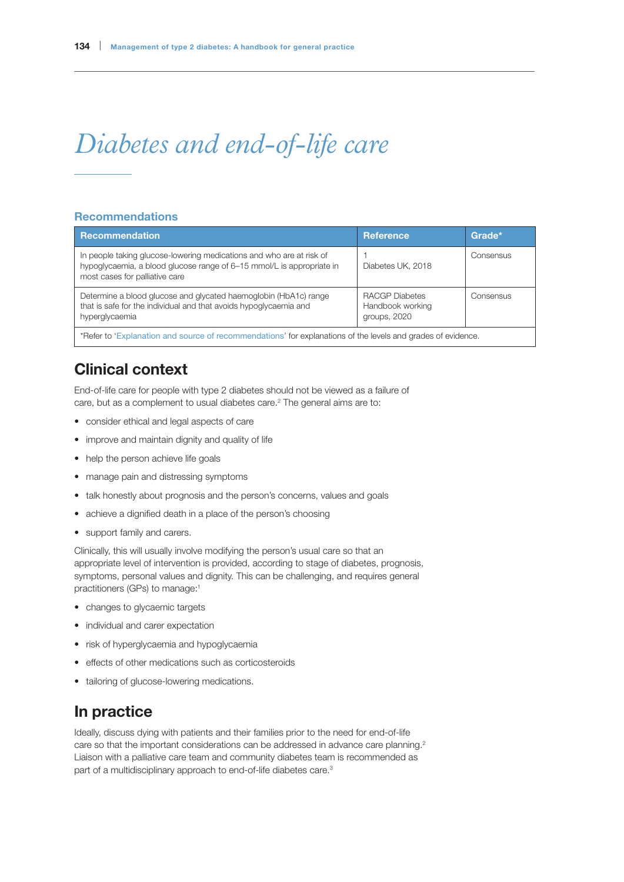# *Diabetes and end-of-life care*

#### Recommendations

| Recommendation                                                                                                                                                                  | <b>Reference</b>                                          | Grade*    |
|---------------------------------------------------------------------------------------------------------------------------------------------------------------------------------|-----------------------------------------------------------|-----------|
| In people taking glucose-lowering medications and who are at risk of<br>hypoglycaemia, a blood glucose range of 6-15 mmol/L is appropriate in<br>most cases for palliative care | Diabetes UK, 2018                                         | Consensus |
| Determine a blood glucose and glycated haemoglobin (HbA1c) range<br>that is safe for the individual and that avoids hypoglycaemia and<br>hyperglycaemia                         | <b>RACGP Diabetes</b><br>Handbook working<br>groups, 2020 | Consensus |
| *Refer to 'Explanation and source of recommendations' for explanations of the levels and grades of evidence.                                                                    |                                                           |           |

# Clinical context

End-of-life care for people with type 2 diabetes should not be viewed as a failure of care, but as a complement to usual diabetes care.<sup>2</sup> The general aims are to:

- consider ethical and legal aspects of care
- improve and maintain dignity and quality of life
- help the person achieve life goals
- manage pain and distressing symptoms
- talk honestly about prognosis and the person's concerns, values and goals
- achieve a dignified death in a place of the person's choosing
- support family and carers.

Clinically, this will usually involve modifying the person's usual care so that an appropriate level of intervention is provided, according to stage of diabetes, prognosis, symptoms, personal values and dignity. This can be challenging, and requires general practitioners (GPs) to manage:<sup>1</sup>

- changes to glycaemic targets
- individual and carer expectation
- risk of hyperglycaemia and hypoglycaemia
- effects of other medications such as corticosteroids
- tailoring of glucose-lowering medications.

# In practice

Ideally, discuss dying with patients and their families prior to the need for end-of-life care so that the important considerations can be addressed in advance care planning.<sup>2</sup> Liaison with a palliative care team and community diabetes team is recommended as part of a multidisciplinary approach to end-of-life diabetes care.<sup>3</sup>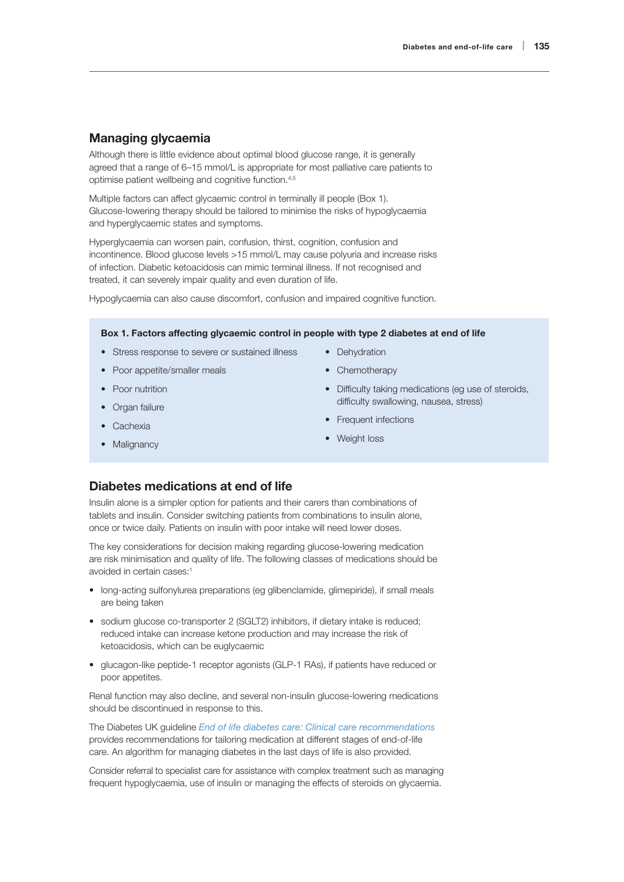#### Managing glycaemia

Although there is little evidence about optimal blood glucose range, it is generally agreed that a range of 6–15 mmol/L is appropriate for most palliative care patients to optimise patient wellbeing and cognitive function.4,5

Multiple factors can affect glycaemic control in terminally ill people (Box 1). Glucose-lowering therapy should be tailored to minimise the risks of hypoglycaemia and hyperglycaemic states and symptoms.

Hyperglycaemia can worsen pain, confusion, thirst, cognition, confusion and incontinence. Blood glucose levels >15 mmol/L may cause polyuria and increase risks of infection. Diabetic ketoacidosis can mimic terminal illness. If not recognised and treated, it can severely impair quality and even duration of life.

Hypoglycaemia can also cause discomfort, confusion and impaired cognitive function.

#### Box 1. Factors affecting glycaemic control in people with type 2 diabetes at end of life

- Stress response to severe or sustained illness
- Poor appetite/smaller meals
- Poor nutrition
- Organ failure
- Cachexia
- Malignancy
- Dehydration
- Chemotherapy
- Difficulty taking medications (eg use of steroids, difficulty swallowing, nausea, stress)
- Frequent infections
- Weight loss

### Diabetes medications at end of life

Insulin alone is a simpler option for patients and their carers than combinations of tablets and insulin. Consider switching patients from combinations to insulin alone, once or twice daily. Patients on insulin with poor intake will need lower doses.

The key considerations for decision making regarding glucose-lowering medication are risk minimisation and quality of life. The following classes of medications should be avoided in certain cases:1

- long-acting sulfonylurea preparations (eg glibenclamide, glimepiride), if small meals are being taken
- sodium glucose co-transporter 2 (SGLT2) inhibitors, if dietary intake is reduced; reduced intake can increase ketone production and may increase the risk of ketoacidosis, which can be euglycaemic
- glucagon-like peptide-1 receptor agonists (GLP-1 RAs), if patients have reduced or poor appetites.

Renal function may also decline, and several non-insulin glucose-lowering medications should be discontinued in response to this.

The Diabetes UK guideline *[End of life diabetes care: Clinical care recommendations](https://www.diabetes.org.uk/professionals/position-statements-reports/diagnosis-ongoing-management-monitoring/end-of-life-care)* provides recommendations for tailoring medication at different stages of end-of-life care. An algorithm for managing diabetes in the last days of life is also provided.

Consider referral to specialist care for assistance with complex treatment such as managing frequent hypoglycaemia, use of insulin or managing the effects of steroids on glycaemia.